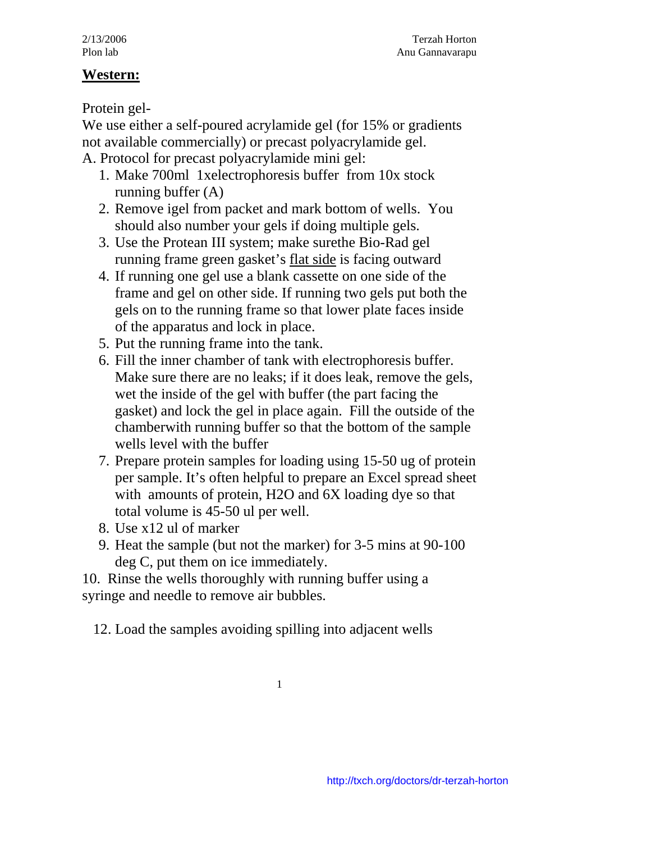## **West ern:**

Protein gel-

We use either a self-poured acrylamide gel (for 15% or gradients no t available commercially) or precast polyacrylamide gel. A . Protocol for precast polyacrylamide mini gel:

- 1. Make 700ml 1xelectrophoresis buffer from 10x stock running buffer (A)
- 2. Remove igel from packet and mark bottom of wells. You should also number your gels if doing multiple gels.
- 3. Use the Protean III system; make surethe Bio-Rad gel running frame green gasket's flat side is facing outward
- 4. If running one gel use a blank cassette on one side of the frame and gel on other side. If running two gels put both the gels on to the running frame so that lower plate faces inside of the apparatus and lock in place.
- 5. Pu t the running frame into the tank.
- 6. Fil l the inner chamber of tank with electrophoresis buffer. Make sure there are no leaks; if it does leak, remove the gels, wet the inside of the gel with buffer (the part facing the we lls level with the buffer gasket) and lock the gel in place again. Fill the outside of the chamberwith running buffer so that the bottom of the sample
- 7. Pre pare protein samples for loading using 15-50 ug of protein per sample. It's often helpful to prepare an Excel spread sheet wi th amounts of protein, H2O and 6X loading dye so that tot al volume is 45-50 ul per well.
- 8. Use x12 ul of marker
- 9. Heat the sample (but not the marker) for 3-5 mins at 90-100 deg C, put them on ice immediately.

10. Rins e the wells thoroughly with running buffer using a syringe a nd needle to remove air bubbles.

12. Load the samples avoiding spilling into adjacent wells